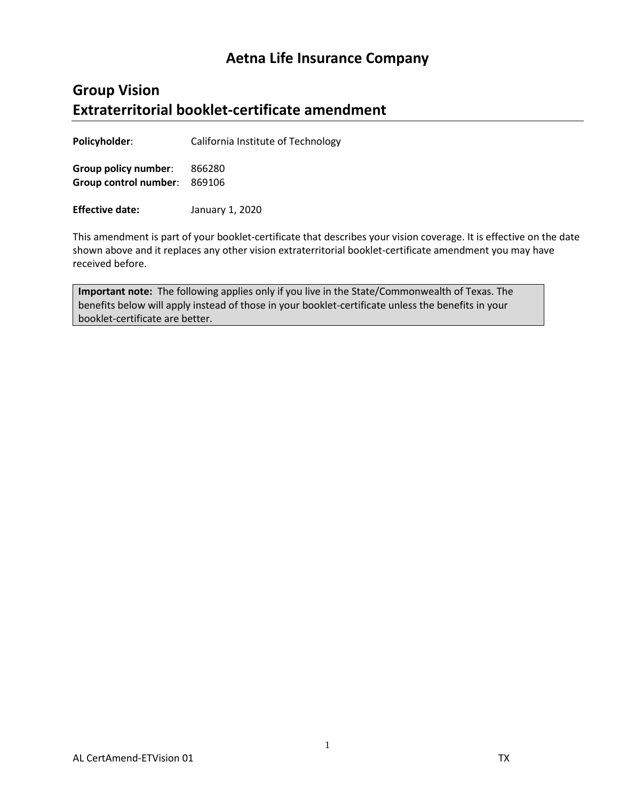# **Aetna Life Insurance Company**

# **Group Vision Extraterritorial booklet-certificate amendment**

**Policyholder**: California Institute of Technology

**Group policy number**: 866280 **Group control number**: 869106

**Effective date:** January 1, 2020

This amendment is part of your booklet-certificate that describes your vision coverage. It is effective on the date shown above and it replaces any other vision extraterritorial booklet-certificate amendment you may have received before.

**Important note:** The following applies only if you live in the State/Commonwealth of Texas. The benefits below will apply instead of those in your booklet-certificate unless the benefits in your booklet-certificate are better.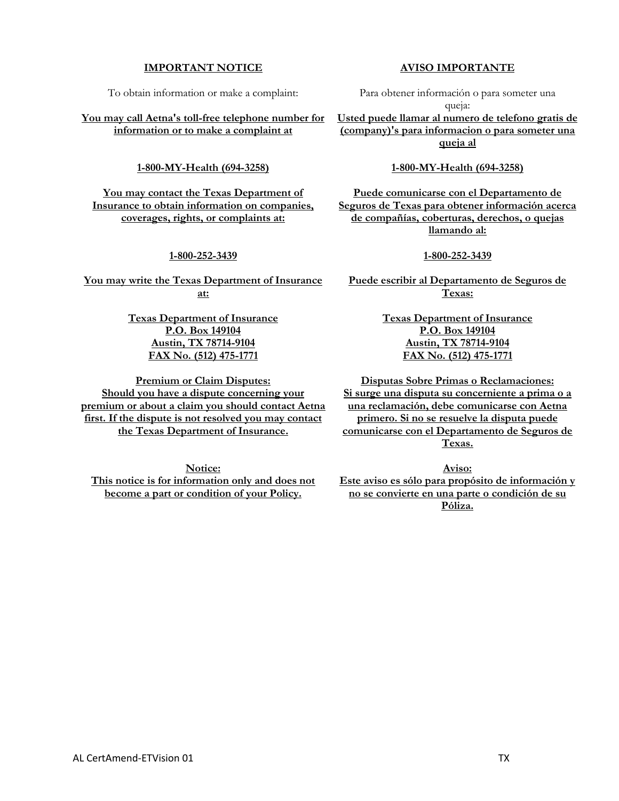#### **IMPORTANT NOTICE**

To obtain information or make a complaint:

**You may call Aetna's toll-free telephone number for information or to make a complaint at**

#### **1-800-MY-Health (694-3258)**

**You may contact the Texas Department of Insurance to obtain information on companies, coverages, rights, or complaints at:**

#### **1-800-252-3439**

**You may write the Texas Department of Insurance at:**

> **Texas Department of Insurance P.O. Box 149104 Austin, TX 78714-9104 FAX No. (512) 475-1771**

**Premium or Claim Disputes: Should you have a dispute concerning your premium or about a claim you should contact Aetna first. If the dispute is not resolved you may contact the Texas Department of Insurance.**

**Notice: This notice is for information only and does not become a part or condition of your Policy.**

#### **AVISO IMPORTANTE**

Para obtener información o para someter una queja:

**Usted puede llamar al numero de telefono gratis de (company)'s para informacion o para someter una queja al**

#### **1-800-MY-Health (694-3258)**

**Puede comunicarse con el Departamento de Seguros de Texas para obtener información acerca de compañías, coberturas, derechos, o quejas llamando al:**

#### **1-800-252-3439**

**Puede escribir al Departamento de Seguros de Texas:**

> **Texas Department of Insurance P.O. Box 149104 Austin, TX 78714-9104 FAX No. (512) 475-1771**

**Disputas Sobre Primas o Reclamaciones: Si surge una disputa su concerniente a prima o a una reclamación, debe comunicarse con Aetna primero. Si no se resuelve la disputa puede comunicarse con el Departamento de Seguros de Texas.**

**Aviso:**

**Este aviso es sólo para propósito de información y no se convierte en una parte o condición de su Póliza.**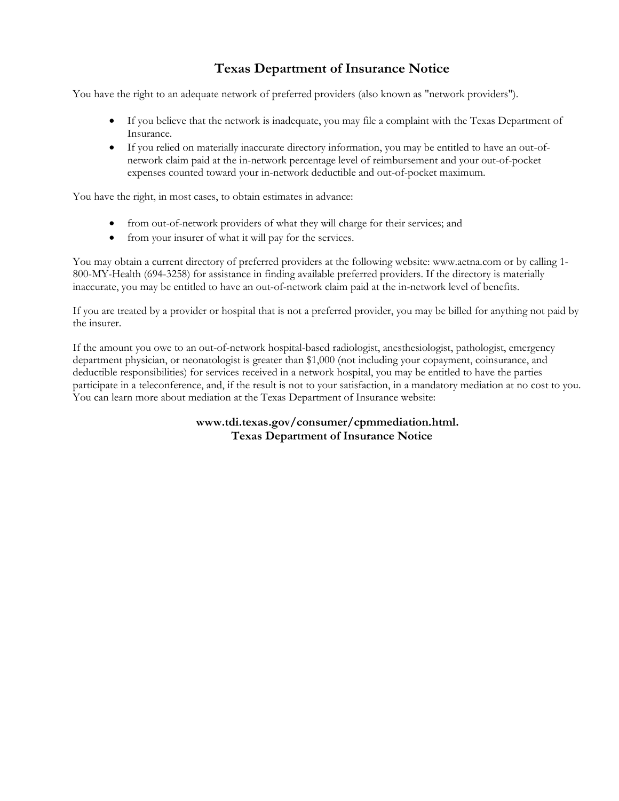# **Texas Department of Insurance Notice**

You have the right to an adequate network of preferred providers (also known as "network providers").

- If you believe that the network is inadequate, you may file a complaint with the Texas Department of Insurance.
- If you relied on materially inaccurate directory information, you may be entitled to have an out-ofnetwork claim paid at the in-network percentage level of reimbursement and your out-of-pocket expenses counted toward your in-network deductible and out-of-pocket maximum.

You have the right, in most cases, to obtain estimates in advance:

- from out-of-network providers of what they will charge for their services; and
- from your insurer of what it will pay for the services.

You may obtain a current directory of preferred providers at the following website: www.aetna.com or by calling 1- 800-MY-Health (694-3258) for assistance in finding available preferred providers. If the directory is materially inaccurate, you may be entitled to have an out-of-network claim paid at the in-network level of benefits.

If you are treated by a provider or hospital that is not a preferred provider, you may be billed for anything not paid by the insurer.

If the amount you owe to an out-of-network hospital-based radiologist, anesthesiologist, pathologist, emergency department physician, or neonatologist is greater than \$1,000 (not including your copayment, coinsurance, and deductible responsibilities) for services received in a network hospital, you may be entitled to have the parties participate in a teleconference, and, if the result is not to your satisfaction, in a mandatory mediation at no cost to you. You can learn more about mediation at the Texas Department of Insurance website:

> **www.tdi.texas.gov/consumer/cpmmediation.html. Texas Department of Insurance Notice**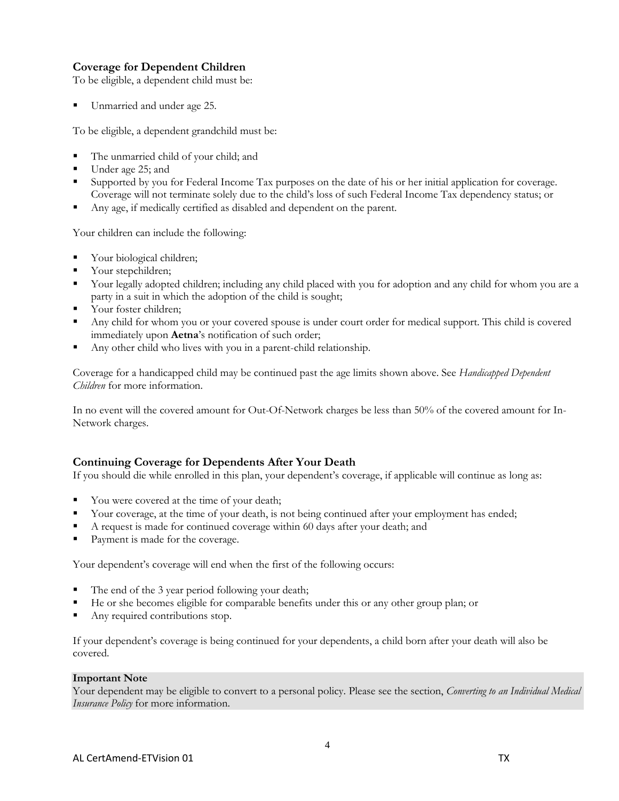### **Coverage for Dependent Children**

To be eligible, a dependent child must be:

Unmarried and under age 25.

To be eligible, a dependent grandchild must be:

- The unmarried child of your child; and
- Under age 25; and
- Supported by you for Federal Income Tax purposes on the date of his or her initial application for coverage. Coverage will not terminate solely due to the child's loss of such Federal Income Tax dependency status; or
- Any age, if medically certified as disabled and dependent on the parent.

Your children can include the following:

- Your biological children;
- Your stepchildren;
- Your legally adopted children; including any child placed with you for adoption and any child for whom you are a party in a suit in which the adoption of the child is sought;
- Your foster children;
- Any child for whom you or your covered spouse is under court order for medical support. This child is covered immediately upon **Aetna**'s notification of such order;
- Any other child who lives with you in a parent-child relationship.

Coverage for a handicapped child may be continued past the age limits shown above. See *Handicapped Dependent Children* for more information.

In no event will the covered amount for Out-Of-Network charges be less than 50% of the covered amount for In-Network charges.

## **Continuing Coverage for Dependents After Your Death**

If you should die while enrolled in this plan, your dependent's coverage, if applicable will continue as long as:

- You were covered at the time of your death;
- Your coverage, at the time of your death, is not being continued after your employment has ended;
- A request is made for continued coverage within 60 days after your death; and
- Payment is made for the coverage.

Your dependent's coverage will end when the first of the following occurs:

- The end of the 3 year period following your death;
- He or she becomes eligible for comparable benefits under this or any other group plan; or
- Any required contributions stop.

If your dependent's coverage is being continued for your dependents, a child born after your death will also be covered.

#### **Important Note**

Your dependent may be eligible to convert to a personal policy. Please see the section, *Converting to an Individual Medical Insurance Policy* for more information.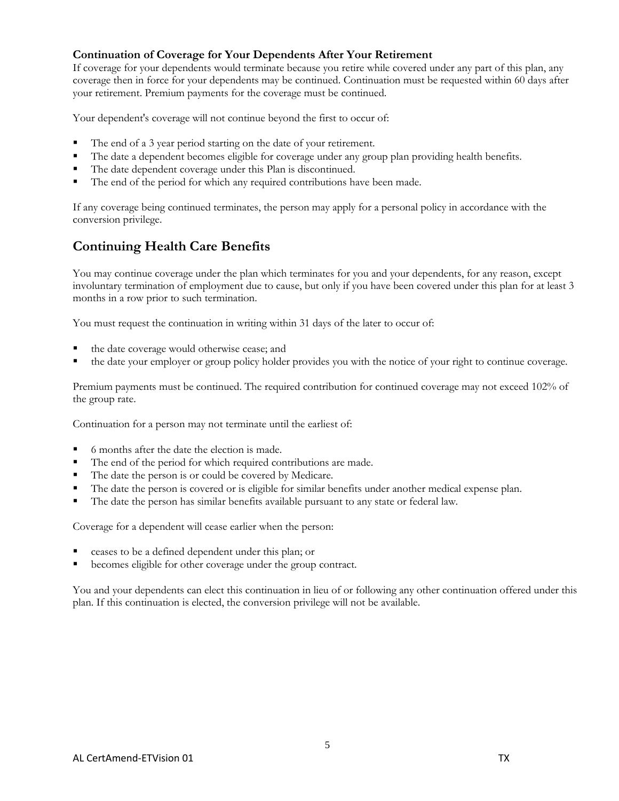### **Continuation of Coverage for Your Dependents After Your Retirement**

If coverage for your dependents would terminate because you retire while covered under any part of this plan, any coverage then in force for your dependents may be continued. Continuation must be requested within 60 days after your retirement. Premium payments for the coverage must be continued.

Your dependent's coverage will not continue beyond the first to occur of:

- The end of a 3 year period starting on the date of your retirement.
- The date a dependent becomes eligible for coverage under any group plan providing health benefits.
- The date dependent coverage under this Plan is discontinued.
- The end of the period for which any required contributions have been made.

If any coverage being continued terminates, the person may apply for a personal policy in accordance with the conversion privilege.

## **Continuing Health Care Benefits**

You may continue coverage under the plan which terminates for you and your dependents, for any reason, except involuntary termination of employment due to cause, but only if you have been covered under this plan for at least 3 months in a row prior to such termination.

You must request the continuation in writing within 31 days of the later to occur of:

- the date coverage would otherwise cease; and
- the date your employer or group policy holder provides you with the notice of your right to continue coverage.

Premium payments must be continued. The required contribution for continued coverage may not exceed 102% of the group rate.

Continuation for a person may not terminate until the earliest of:

- 6 months after the date the election is made.
- The end of the period for which required contributions are made.
- The date the person is or could be covered by Medicare.
- The date the person is covered or is eligible for similar benefits under another medical expense plan.
- The date the person has similar benefits available pursuant to any state or federal law.

Coverage for a dependent will cease earlier when the person:

- ceases to be a defined dependent under this plan; or
- becomes eligible for other coverage under the group contract.

You and your dependents can elect this continuation in lieu of or following any other continuation offered under this plan. If this continuation is elected, the conversion privilege will not be available.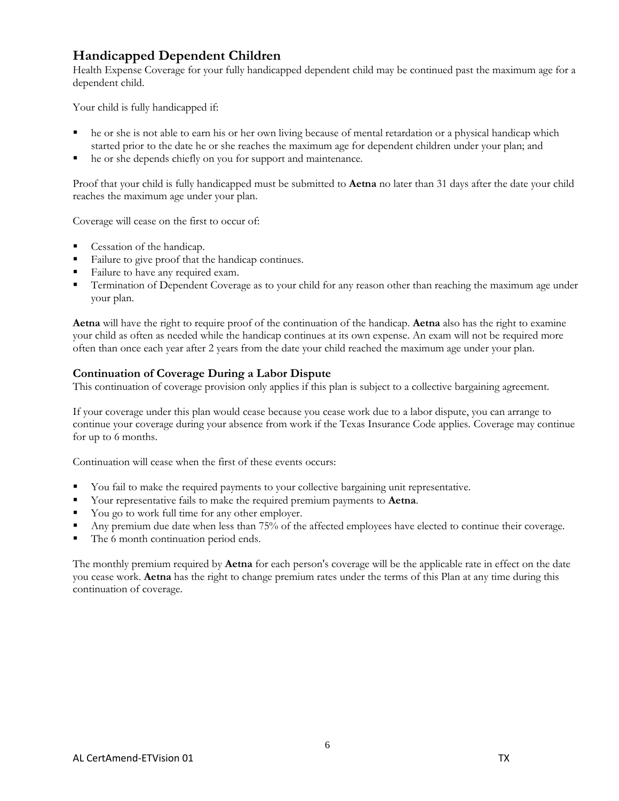## **Handicapped Dependent Children**

Health Expense Coverage for your fully handicapped dependent child may be continued past the maximum age for a dependent child.

Your child is fully handicapped if:

- he or she is not able to earn his or her own living because of mental retardation or a physical handicap which started prior to the date he or she reaches the maximum age for dependent children under your plan; and
- he or she depends chiefly on you for support and maintenance.

Proof that your child is fully handicapped must be submitted to **Aetna** no later than 31 days after the date your child reaches the maximum age under your plan.

Coverage will cease on the first to occur of:

- Cessation of the handicap.
- Failure to give proof that the handicap continues.
- Failure to have any required exam.
- **Termination of Dependent Coverage as to your child for any reason other than reaching the maximum age under** your plan.

**Aetna** will have the right to require proof of the continuation of the handicap. **Aetna** also has the right to examine your child as often as needed while the handicap continues at its own expense. An exam will not be required more often than once each year after 2 years from the date your child reached the maximum age under your plan.

#### **Continuation of Coverage During a Labor Dispute**

This continuation of coverage provision only applies if this plan is subject to a collective bargaining agreement.

If your coverage under this plan would cease because you cease work due to a labor dispute, you can arrange to continue your coverage during your absence from work if the Texas Insurance Code applies. Coverage may continue for up to 6 months.

Continuation will cease when the first of these events occurs:

- You fail to make the required payments to your collective bargaining unit representative.
- Your representative fails to make the required premium payments to **Aetna**.
- You go to work full time for any other employer.
- Any premium due date when less than 75% of the affected employees have elected to continue their coverage.
- The 6 month continuation period ends.

The monthly premium required by **Aetna** for each person's coverage will be the applicable rate in effect on the date you cease work. **Aetna** has the right to change premium rates under the terms of this Plan at any time during this continuation of coverage.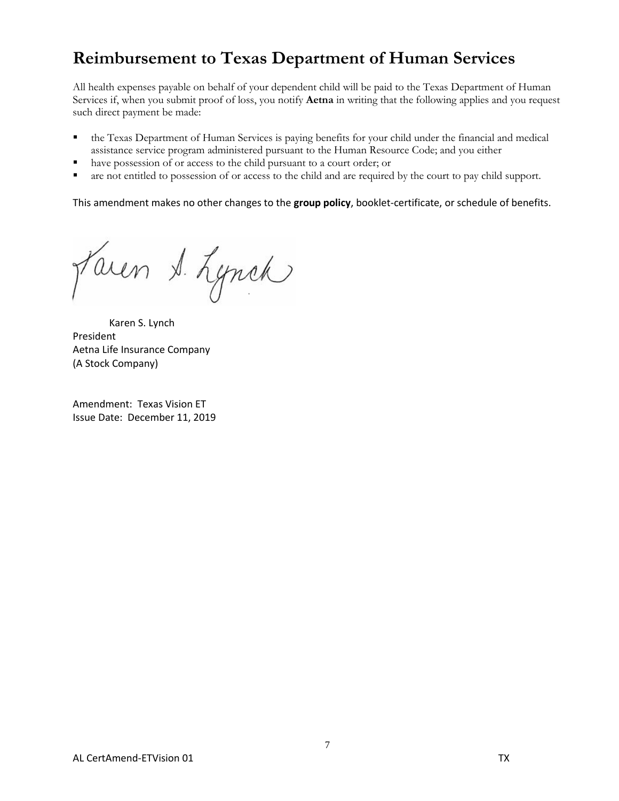# **Reimbursement to Texas Department of Human Services**

All health expenses payable on behalf of your dependent child will be paid to the Texas Department of Human Services if, when you submit proof of loss, you notify **Aetna** in writing that the following applies and you request such direct payment be made:

- the Texas Department of Human Services is paying benefits for your child under the financial and medical assistance service program administered pursuant to the Human Resource Code; and you either
- have possession of or access to the child pursuant to a court order; or
- are not entitled to possession of or access to the child and are required by the court to pay child support.

This amendment makes no other changes to the **group policy**, booklet-certificate, or schedule of benefits.

faren S. Lynch

Karen S. Lynch President Aetna Life Insurance Company (A Stock Company)

Amendment: Texas Vision ET Issue Date: December 11, 2019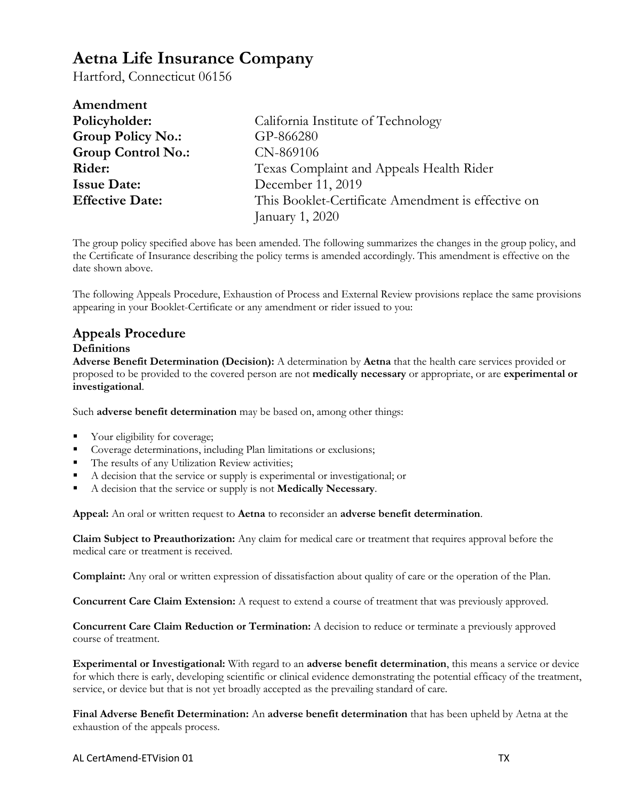# **Aetna Life Insurance Company**

Hartford, Connecticut 06156

| Amendment                 |                                                    |
|---------------------------|----------------------------------------------------|
| Policyholder:             | California Institute of Technology                 |
| <b>Group Policy No.:</b>  | GP-866280                                          |
| <b>Group Control No.:</b> | CN-869106                                          |
| Rider:                    | Texas Complaint and Appeals Health Rider           |
| <b>Issue Date:</b>        | December 11, 2019                                  |
| <b>Effective Date:</b>    | This Booklet-Certificate Amendment is effective on |
|                           | January 1, 2020                                    |

The group policy specified above has been amended. The following summarizes the changes in the group policy, and the Certificate of Insurance describing the policy terms is amended accordingly. This amendment is effective on the date shown above.

The following Appeals Procedure, Exhaustion of Process and External Review provisions replace the same provisions appearing in your Booklet-Certificate or any amendment or rider issued to you:

## **Appeals Procedure**

#### **Definitions**

**Adverse Benefit Determination (Decision):** A determination by **Aetna** that the health care services provided or proposed to be provided to the covered person are not **medically necessary** or appropriate, or are **experimental or investigational**.

Such **adverse benefit determination** may be based on, among other things:

- Your eligibility for coverage;
- Coverage determinations, including Plan limitations or exclusions;
- The results of any Utilization Review activities;
- A decision that the service or supply is experimental or investigational; or
- A decision that the service or supply is not **Medically Necessary**.

**Appeal:** An oral or written request to **Aetna** to reconsider an **adverse benefit determination**.

**Claim Subject to Preauthorization:** Any claim for medical care or treatment that requires approval before the medical care or treatment is received.

**Complaint:** Any oral or written expression of dissatisfaction about quality of care or the operation of the Plan.

**Concurrent Care Claim Extension:** A request to extend a course of treatment that was previously approved.

**Concurrent Care Claim Reduction or Termination:** A decision to reduce or terminate a previously approved course of treatment.

**Experimental or Investigational:** With regard to an **adverse benefit determination**, this means a service or device for which there is early, developing scientific or clinical evidence demonstrating the potential efficacy of the treatment, service, or device but that is not yet broadly accepted as the prevailing standard of care.

**Final Adverse Benefit Determination:** An **adverse benefit determination** that has been upheld by Aetna at the exhaustion of the appeals process.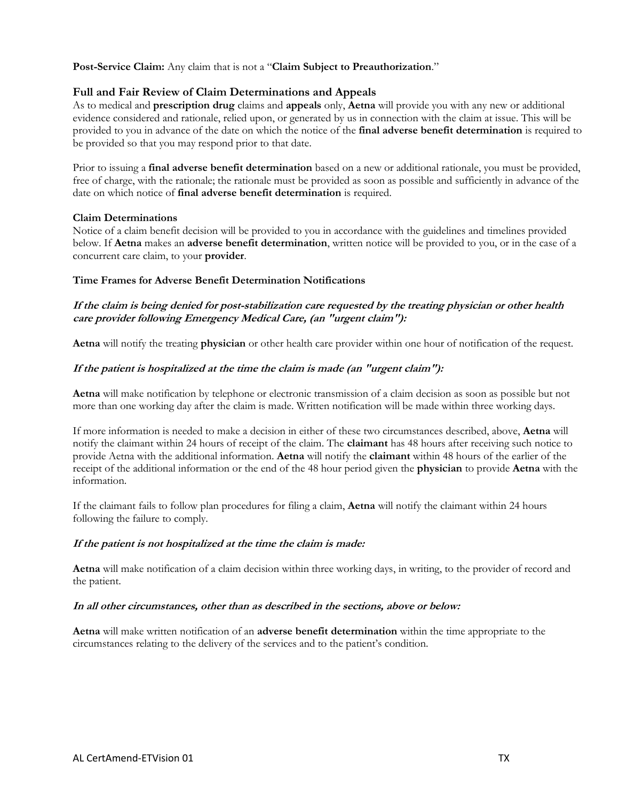**Post-Service Claim:** Any claim that is not a "**Claim Subject to Preauthorization**."

#### **Full and Fair Review of Claim Determinations and Appeals**

As to medical and **prescription drug** claims and **appeals** only, **Aetna** will provide you with any new or additional evidence considered and rationale, relied upon, or generated by us in connection with the claim at issue. This will be provided to you in advance of the date on which the notice of the **final adverse benefit determination** is required to be provided so that you may respond prior to that date.

Prior to issuing a **final adverse benefit determination** based on a new or additional rationale, you must be provided, free of charge, with the rationale; the rationale must be provided as soon as possible and sufficiently in advance of the date on which notice of **final adverse benefit determination** is required.

#### **Claim Determinations**

Notice of a claim benefit decision will be provided to you in accordance with the guidelines and timelines provided below. If **Aetna** makes an **adverse benefit determination**, written notice will be provided to you, or in the case of a concurrent care claim, to your **provider**.

#### **Time Frames for Adverse Benefit Determination Notifications**

#### **If the claim is being denied for post-stabilization care requested by the treating physician or other health care provider following Emergency Medical Care, (an "urgent claim"):**

**Aetna** will notify the treating **physician** or other health care provider within one hour of notification of the request.

#### **If the patient is hospitalized at the time the claim is made (an "urgent claim"):**

**Aetna** will make notification by telephone or electronic transmission of a claim decision as soon as possible but not more than one working day after the claim is made. Written notification will be made within three working days.

If more information is needed to make a decision in either of these two circumstances described, above, **Aetna** will notify the claimant within 24 hours of receipt of the claim. The **claimant** has 48 hours after receiving such notice to provide Aetna with the additional information. **Aetna** will notify the **claimant** within 48 hours of the earlier of the receipt of the additional information or the end of the 48 hour period given the **physician** to provide **Aetna** with the information.

If the claimant fails to follow plan procedures for filing a claim, **Aetna** will notify the claimant within 24 hours following the failure to comply.

#### **If the patient is not hospitalized at the time the claim is made:**

**Aetna** will make notification of a claim decision within three working days, in writing, to the provider of record and the patient.

#### **In all other circumstances, other than as described in the sections, above or below:**

**Aetna** will make written notification of an **adverse benefit determination** within the time appropriate to the circumstances relating to the delivery of the services and to the patient's condition.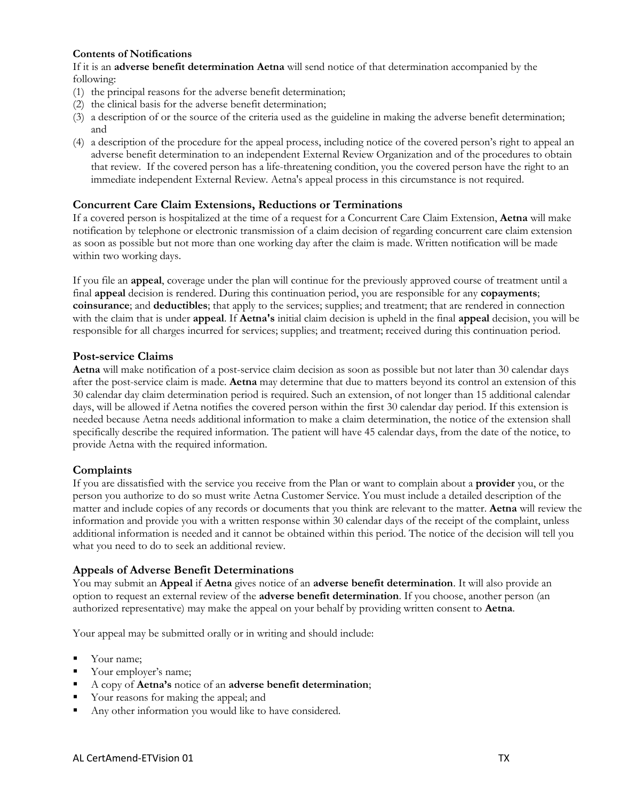#### **Contents of Notifications**

If it is an **adverse benefit determination Aetna** will send notice of that determination accompanied by the following:

- (1) the principal reasons for the adverse benefit determination;
- (2) the clinical basis for the adverse benefit determination;
- (3) a description of or the source of the criteria used as the guideline in making the adverse benefit determination; and
- (4) a description of the procedure for the appeal process, including notice of the covered person's right to appeal an adverse benefit determination to an independent External Review Organization and of the procedures to obtain that review. If the covered person has a life-threatening condition, you the covered person have the right to an immediate independent External Review. Aetna's appeal process in this circumstance is not required.

#### **Concurrent Care Claim Extensions, Reductions or Terminations**

If a covered person is hospitalized at the time of a request for a Concurrent Care Claim Extension, **Aetna** will make notification by telephone or electronic transmission of a claim decision of regarding concurrent care claim extension as soon as possible but not more than one working day after the claim is made. Written notification will be made within two working days.

If you file an **appeal**, coverage under the plan will continue for the previously approved course of treatment until a final **appeal** decision is rendered. During this continuation period, you are responsible for any **copayments**; **coinsurance**; and **deductibles**; that apply to the services; supplies; and treatment; that are rendered in connection with the claim that is under **appeal**. If **Aetna's** initial claim decision is upheld in the final **appeal** decision, you will be responsible for all charges incurred for services; supplies; and treatment; received during this continuation period.

#### **Post-service Claims**

**Aetna** will make notification of a post-service claim decision as soon as possible but not later than 30 calendar days after the post-service claim is made. **Aetna** may determine that due to matters beyond its control an extension of this 30 calendar day claim determination period is required. Such an extension, of not longer than 15 additional calendar days, will be allowed if Aetna notifies the covered person within the first 30 calendar day period. If this extension is needed because Aetna needs additional information to make a claim determination, the notice of the extension shall specifically describe the required information. The patient will have 45 calendar days, from the date of the notice, to provide Aetna with the required information.

#### **Complaints**

If you are dissatisfied with the service you receive from the Plan or want to complain about a **provider** you, or the person you authorize to do so must write Aetna Customer Service. You must include a detailed description of the matter and include copies of any records or documents that you think are relevant to the matter. **Aetna** will review the information and provide you with a written response within 30 calendar days of the receipt of the complaint, unless additional information is needed and it cannot be obtained within this period. The notice of the decision will tell you what you need to do to seek an additional review.

#### **Appeals of Adverse Benefit Determinations**

You may submit an **Appeal** if **Aetna** gives notice of an **adverse benefit determination**. It will also provide an option to request an external review of the **adverse benefit determination**. If you choose, another person (an authorized representative) may make the appeal on your behalf by providing written consent to **Aetna**.

Your appeal may be submitted orally or in writing and should include:

- Your name;
- Your employer's name;
- A copy of **Aetna's** notice of an **adverse benefit determination**;
- Your reasons for making the appeal; and
- Any other information you would like to have considered.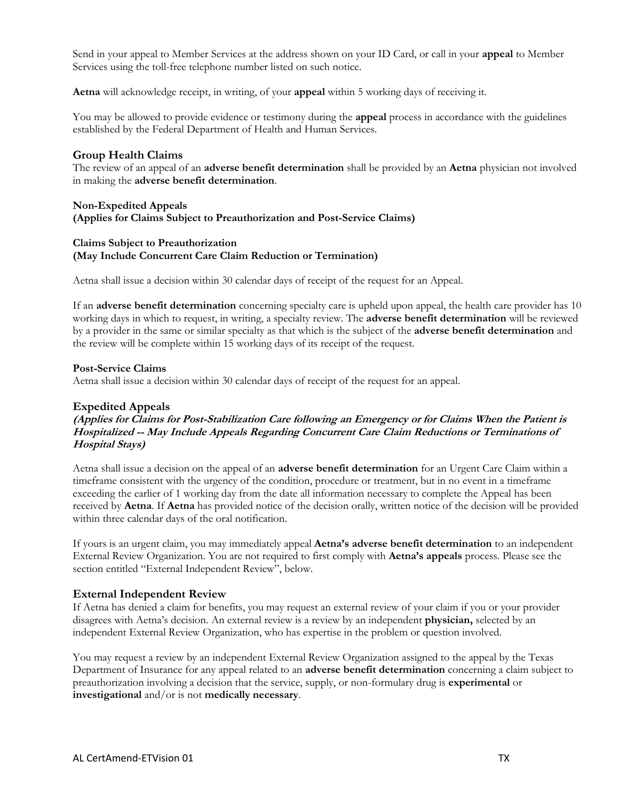Send in your appeal to Member Services at the address shown on your ID Card, or call in your **appeal** to Member Services using the toll-free telephone number listed on such notice.

**Aetna** will acknowledge receipt, in writing, of your **appeal** within 5 working days of receiving it.

You may be allowed to provide evidence or testimony during the **appeal** process in accordance with the guidelines established by the Federal Department of Health and Human Services.

#### **Group Health Claims**

The review of an appeal of an **adverse benefit determination** shall be provided by an **Aetna** physician not involved in making the **adverse benefit determination**.

#### **Non-Expedited Appeals (Applies for Claims Subject to Preauthorization and Post-Service Claims)**

#### **Claims Subject to Preauthorization (May Include Concurrent Care Claim Reduction or Termination)**

Aetna shall issue a decision within 30 calendar days of receipt of the request for an Appeal.

If an **adverse benefit determination** concerning specialty care is upheld upon appeal, the health care provider has 10 working days in which to request, in writing, a specialty review. The **adverse benefit determination** will be reviewed by a provider in the same or similar specialty as that which is the subject of the **adverse benefit determination** and the review will be complete within 15 working days of its receipt of the request.

#### **Post-Service Claims**

Aetna shall issue a decision within 30 calendar days of receipt of the request for an appeal.

#### **Expedited Appeals**

**(Applies for Claims for Post-Stabilization Care following an Emergency or for Claims When the Patient is Hospitalized -- May Include Appeals Regarding Concurrent Care Claim Reductions or Terminations of Hospital Stays)**

Aetna shall issue a decision on the appeal of an **adverse benefit determination** for an Urgent Care Claim within a timeframe consistent with the urgency of the condition, procedure or treatment, but in no event in a timeframe exceeding the earlier of 1 working day from the date all information necessary to complete the Appeal has been received by **Aetna**. If **Aetna** has provided notice of the decision orally, written notice of the decision will be provided within three calendar days of the oral notification.

If yours is an urgent claim, you may immediately appeal **Aetna's adverse benefit determination** to an independent External Review Organization. You are not required to first comply with **Aetna's appeals** process. Please see the section entitled "External Independent Review", below.

#### **External Independent Review**

If Aetna has denied a claim for benefits, you may request an external review of your claim if you or your provider disagrees with Aetna's decision. An external review is a review by an independent **physician,** selected by an independent External Review Organization, who has expertise in the problem or question involved.

You may request a review by an independent External Review Organization assigned to the appeal by the Texas Department of Insurance for any appeal related to an **adverse benefit determination** concerning a claim subject to preauthorization involving a decision that the service, supply, or non-formulary drug is **experimental** or **investigational** and/or is not **medically necessary**.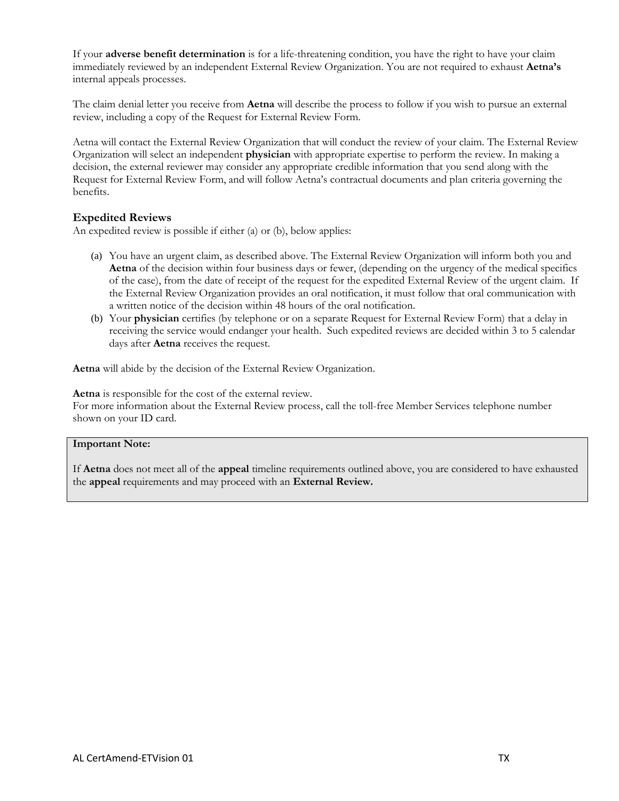If your **adverse benefit determination** is for a life-threatening condition, you have the right to have your claim immediately reviewed by an independent External Review Organization. You are not required to exhaust **Aetna's**  internal appeals processes.

The claim denial letter you receive from **Aetna** will describe the process to follow if you wish to pursue an external review, including a copy of the Request for External Review Form.

Aetna will contact the External Review Organization that will conduct the review of your claim. The External Review Organization will select an independent **physician** with appropriate expertise to perform the review. In making a decision, the external reviewer may consider any appropriate credible information that you send along with the Request for External Review Form, and will follow Aetna's contractual documents and plan criteria governing the benefits.

#### **Expedited Reviews**

An expedited review is possible if either (a) or (b), below applies:

- (a) You have an urgent claim, as described above. The External Review Organization will inform both you and **Aetna** of the decision within four business days or fewer, (depending on the urgency of the medical specifics of the case), from the date of receipt of the request for the expedited External Review of the urgent claim. If the External Review Organization provides an oral notification, it must follow that oral communication with a written notice of the decision within 48 hours of the oral notification.
- (b) Your **physician** certifies (by telephone or on a separate Request for External Review Form) that a delay in receiving the service would endanger your health. Such expedited reviews are decided within 3 to 5 calendar days after **Aetna** receives the request.

**Aetna** will abide by the decision of the External Review Organization.

**Aetna** is responsible for the cost of the external review.

For more information about the External Review process, call the toll-free Member Services telephone number shown on your ID card.

#### **Important Note:**

If **Aetna** does not meet all of the **appeal** timeline requirements outlined above, you are considered to have exhausted the **appeal** requirements and may proceed with an **External Review.**